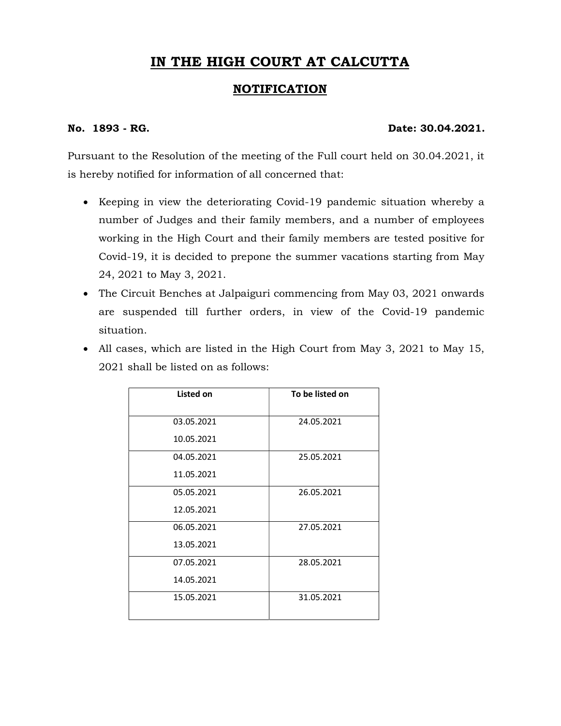## IN THE HIGH COURT AT CALCUTTA

## NOTIFICATION

## No. 1893 - RG. 2004.2021.

Pursuant to the Resolution of the meeting of the Full court held on 30.04.2021, it is hereby notified for information of all concerned that:

- Keeping in view the deteriorating Covid-19 pandemic situation whereby a number of Judges and their family members, and a number of employees working in the High Court and their family members are tested positive for Covid-19, it is decided to prepone the summer vacations starting from May 24, 2021 to May 3, 2021.
- The Circuit Benches at Jalpaiguri commencing from May 03, 2021 onwards are suspended till further orders, in view of the Covid-19 pandemic situation.
- All cases, which are listed in the High Court from May 3, 2021 to May 15, 2021 shall be listed on as follows:

| Listed on  | To be listed on |
|------------|-----------------|
| 03.05.2021 | 24.05.2021      |
| 10.05.2021 |                 |
| 04.05.2021 | 25.05.2021      |
| 11.05.2021 |                 |
| 05.05.2021 | 26.05.2021      |
| 12.05.2021 |                 |
| 06.05.2021 | 27.05.2021      |
| 13.05.2021 |                 |
| 07.05.2021 | 28.05.2021      |
| 14.05.2021 |                 |
| 15.05.2021 | 31.05.2021      |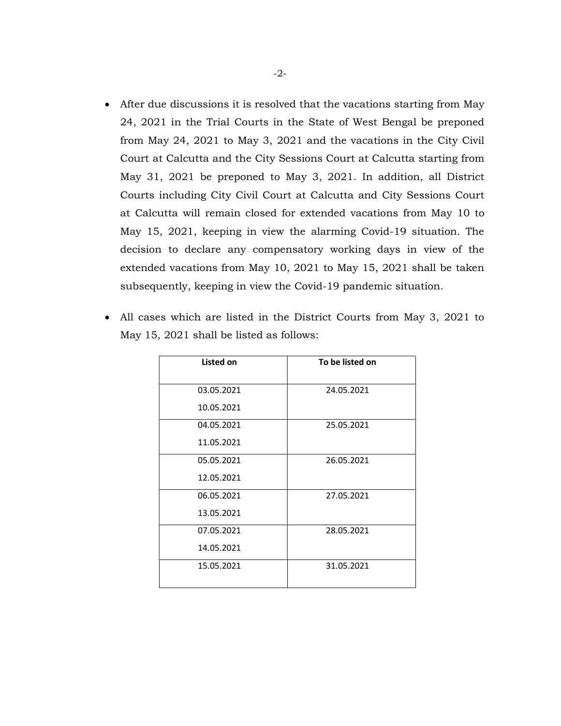After due discussions it is resolved that the vacations starting from May 24, 2021 in the Trial Courts in the State of West Bengal be preponed from May 24, 2021 to May 3, 2021 and the vacations in the City Civil Court at Calcutta and the City Sessions Court at Calcutta starting from May 31, 2021 be preponed to May 3, 2021. In addition, all District Courts including City Civil Court at Calcutta and City Sessions Court at Calcutta will remain closed for extended vacations from May 10 to May 15, 2021, keeping in view the alarming Covid-19 situation. The decision to declare any compensatory working days in view of the extended vacations from May 10, 2021 to May 15, 2021 shall be taken subsequently, keeping in view the Covid-19 pandemic situation.

| <b>Listed on</b> | To be listed on |  |
|------------------|-----------------|--|
| 03.05.2021       | 24.05.2021      |  |
| 10.05.2021       |                 |  |
| 04.05.2021       | 25.05.2021      |  |
| 11.05.2021       |                 |  |
| 05.05.2021       | 26.05.2021      |  |
| 12.05.2021       |                 |  |
| 06.05.2021       | 27.05.2021      |  |
| 13.05.2021       |                 |  |
| 07.05.2021       | 28.05.2021      |  |
| 14.05.2021       |                 |  |
| 15.05.2021       | 31.05.2021      |  |

 All cases which are listed in the District Courts from May 3, 2021 to May 15, 2021 shall be listed as follows: